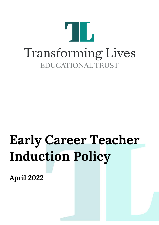

# **Early Career Teacher Induction Policy**

**April 2022**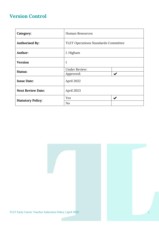### **Version Control**

| Category:                | <b>Human Resources</b>                     |                           |
|--------------------------|--------------------------------------------|---------------------------|
| <b>Authorised By:</b>    | <b>TLET Operations Standards Committee</b> |                           |
| Author:                  | J. Higham                                  |                           |
| <b>Version</b>           | $\mathbf{1}$                               |                           |
| Status:                  | <b>Under Review:</b>                       |                           |
|                          | Approved:                                  | $\boldsymbol{\checkmark}$ |
| <b>Issue Date:</b>       | April 2022                                 |                           |
| <b>Next Review Date:</b> | April 2023                                 |                           |
| <b>Statutory Policy:</b> | Yes                                        | $\blacktriangledown$      |
|                          | N <sub>o</sub>                             |                           |

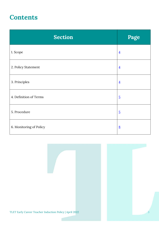## **Contents**

| <b>Section</b>          | Page           |
|-------------------------|----------------|
| 1. Scope                | $\overline{4}$ |
| 2. Policy Statement     | $\overline{4}$ |
| 3. Principles           | $\overline{4}$ |
| 4. Definition of Terms  | $\overline{5}$ |
| 5. Procedure            | $\overline{5}$ |
| 6. Monitoring of Policy | 8              |

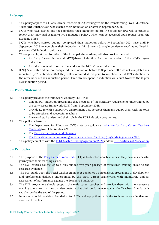#### <span id="page-3-0"></span>**1 – Scope**

- 1.1 This policy applies to all Early Career Teachers (**ECT**) working within the Transforming Lives Educational Trust (**The Trust/TLET**) who started their induction on or after 1<sup>st</sup> September 2021.
- 1.2 NQTs who have started but not completed their induction before 1st September 2021 will continue to follow their individual academy's NQT induction policy., which can be accessed upon request from the academy office.
- 1.3 NOTs who have started but not completed their induction before 1st September 2021 have until  $1<sup>st</sup>$ September 2023 to complete their induction within 3 terms (a single academic year) as outlined in previous NQT induction guidance.
- 1.4 Where possible, at the discretion of the Principal, the academy will also provide them with:
	- An Early Career Framework (**ECF**)-based induction for the remainder of the NQT's 1-year induction;
	- An induction mentor for the remainder of the NQT's 1-year induction.
- 1.5 If NQTs who started but not completed their induction before 1st September 2021 do not complete their induction by 1st September 2023, they will be required at this point to switch to the full ECT induction for the remainder of their induction period. Time already spent in induction will count towards the 2-year ECT induction period.

#### <span id="page-3-1"></span>**2 – Policy Statement**

- 2.1 This policy provides the framework whereby TLET will:
	- Run an ECT induction programme that meets all of the statutory requirements underpinned by the early career framework (ECF) from 1 September 2021;
	- Provide ECTs with a supportive environment that develops them and equips them with the tools to be effective and successful teachers;
	- Ensure all staff understand their role in the ECT induction programme.
- 2.2 This policy is based on:
	- The Department for Education (DfE) statutory guidance Induction for Early Career Teachers [\(England\) f](https://www.gov.uk/government/publications/induction-for-early-career-teachers-england)rom 1 September 2021;
	- The [Early Career Framework Reforms;](https://www.gov.uk/government/collections/early-career-framework-reforms)
	- [The Education \(Induction Arrangements for School Teachers\) \(England\) Regulations 2012.](http://www.legislation.gov.uk/uksi/2012/1115/contents/made)
- 2.3 This policy complies with the [TLET Master Funding Agreement 2020](https://www.tlet.org.uk/trust-information/governance/) and the [TLET Articles of Association.](https://www.tlet.org.uk/trust-information/trust-documents/)

#### <span id="page-3-2"></span>**3 – Principles**

- 3.1 The purpose of the [Early Career Framework](https://www.gov.uk/government/collections/early-career-framework-reforms) (ECF) is to develop new teachers so they have a successful journey into their teaching career.
- 3.2 The ECF entitles colleagues to a fully-funded two-year package of structured training linked to the research evidence.
- 3.3 The ECF builds upon the initial teacher training. It combines a personalised programme of development and professional dialogue underpinned by the Early Career Framework, with monitoring and an assessment of performance against the Teachers' Standards.
- 3.4 The ECF programme should support the early career teacher and provide them with the necessary training to ensure that they can demonstrate that their performance against the Teachers' Standards is satisfactory by the end of the period.
- 3.5 Induction should provide a foundation for ECTs and equip them with the tools to be an effective and successful teacher.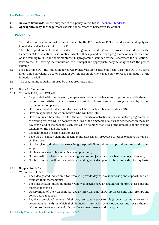#### <span id="page-4-0"></span>**4 – Definition of Terms**

- 4.1 **Relevant Standards**, for the purposes of this policy, refers to the [Teachers' Standards.](https://www.gov.uk/government/publications/teachers-standards)
- 4.2 **Appropriate Body**, for the purposes of this policy, refers to Leicester City Council.

#### <span id="page-4-1"></span>**5 – Procedure**

- 5.1 The induction programme will be underpinned by the ECF, enabling ECTs to understand and apply the knowledge and skills set out in the ECF.
- 5.2 TLET has opted for a funded, provider led programme, working with a provider accredited by the Department for Education, Best Practice, which will design and deliver a programme of face-to-face and online training to ECTs and their mentors. This programme is funded by the Department for Education.
- 5.3 Prior to the ECT serving their induction, the Principal and appropriate body must agree that the post is suitable.
- 5.4 For a full-time ECT, the induction period will typically last for 2 academic years. Part-time ECTs will serve a full-time equivalent. Up to one term of continuous employment may count towards completion of the induction period.
- 5.5 The programme is quality assured by the appropriate body.

#### **5.6 Posts for Induction**

- 5.6.1 Through TLET, each ECT will:
	- Be provided with the necessary employment tasks, experience and support to enable them to demonstrate satisfactory performance against the relevant standards throughout, and by the end of, the induction period;
	- Have an appointed induction tutor, who will have qualified teacher status (QTS);
	- Have an appointed induction mentor, who will have QTS;
	- Have a reduced timetable to allow them to undertake activities in their induction programme; in their first year, this will be no more than 90% of the timetable of our existing teachers on the main pay range, and in their second year, this will be no more than 95% of the timetable of our existing teachers on the main pay range;
	- Regularly teach the same class or classes;
	- Take part in similar planning, teaching and assessment processes to other teachers working in similar posts;
	- Not be given additional non-teaching responsibilities without appropriate preparation and support;
	- Not have unreasonable demands made upon them;
	- Not normally teach outside the age range and/or subjects they have been employed to teach;
	- Not be presented with unreasonably demanding pupil discipline problems on a day-to-day basis.

#### **5.7 Support for ECTs**

- 5.7.1 We support ECTs with:
	- Their designated induction tutor, who will provide day-to-day monitoring and support, and coordinate their assessments;
	- Their designated induction mentor, who will provide regular structured mentoring sessions and targeted feedback;
	- Observations of their teaching at regular intervals, and follow-up discussions with prompt and constructive feedback;
	- Regular professional reviews of their progress, to take place termly (except in terms where formal assessment is held), at which their induction tutor will review objectives and revise them in relation to the relevant standards and their current needs and strengths;

TLET Early Career Teacher Induction Policy | April 2022 5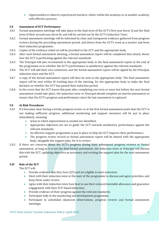• Opportunities to observe experienced teachers, either within the academy or at another academy with effective practice.

#### **5.8 Assessment of ECT Performance**

- 5.8.1 Formal assessment meetings will take place in the final term of the ECT's first year (term 3) and the final term of their second year (term 6), and will be carried out by the ECT's Induction Tutor.
- 5.8.2 Formal assessment meetings will be informed by clear and transparent evidence gathered from progress reviews during the preceding assessment period, and drawn from the ECT's work as a teacher and from their induction programme.
- 5.8.3 Copies of the evidence relied on will be provided to the ECT and the appropriate body.
- 5.8.4 After each formal assessment meeting, a formal assessment report will be completed that clearly shows how the ECT is performing against the relevant standards.
- 5.8.5 The Principal will also recommend to the appropriate body in the final assessment report at the end of the programme as to whether the ECT's performance is satisfactory against the relevant standards.
- 5.8.6 The ECT will add their own comments, and the formal assessment report will be signed by the Principal, induction tutor and the ECT.
- 5.8.7 A copy of the formal assessment report will then be sent to the appropriate body. The final assessment report will be sent within 10 working days of the meeting, for the appropriate body to make the final decision on whether the ECT has passed their induction period.
- 5.8.8 In the event that the ECT leaves this post after completing one term or more but before the next formal assessment would take place, the induction tutor or Principal should complete an interim assessment to ensure that the ECT's progress and performance since the last assessment is captured.

#### **5.9 At Risk Procedures**

- 5.9.1 If it becomes clear during a termly progress review or at the first formal assessment point that the ECT is not making sufficient progress, additional monitoring and support measures will be put in place immediately, meaning:
	- Areas in which improvement is needed are identified;
	- Appropriate objectives are set to guide the ECT towards satisfactory performance against the relevant standards;
	- An effective support programme is put in place to help the ECT improve their performance;
	- The progress review record or formal assessment report will be shared with the appropriate body, alongside the support plan, for it to review;
- 5.9.2 If there are concerns about the ECT's progress during their subsequent progress reviews or formal assessment, as long as it is not the final formal assessment, the induction tutor or Principal will discuss this with the ECT, updating objectives as necessary and revising the support plan for the next assessment period.

#### **5.10 Role of the ECT**

The ECT will:

- Provide evidence that they have QTS and are eligible to start induction;
- Meet with their induction tutor at the start of the programme to discuss and agree priorities, and keep these under review;
- Agree with their induction tutor how best to use their reduced timetable allowance and guarantee engagement with their ECF-based induction;
- Provide evidence of their progress against the relevant standards;
- Participate fully in the monitoring and development programme;
- Participate in scheduled classroom observations, progress reviews and formal assessment meetings;

#### TLET Early Career Teacher Induction Policy | April 2022 6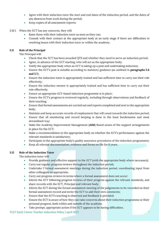- Agree with their induction tutor the start and end dates of the induction period, and the dates of any absences from work during the period;
- Keep copies of all assessment reports;
- 5.10.1 When the ECT has any concerns, they will:
	- Raise these with their induction tutor as soon as they can;
	- Consult with their contact at the appropriate body at an early stage if there are difficulties in resolving issues with their induction tutor or within the academy.

#### **5.11 Role of the Principal**

The Principal will:

- Check that the ECT has been awarded QTS and whether they need to serve an induction period;
- Agree, in advance of the ECT starting, who will act as the appropriate body;
- Notify the appropriate body when an ECT is taking up a post and undertaking induction;
- Ensure the ECT's post is suitable according to statutory guidance (as outlined in **paragraphs 5.6 and 5.7**);
- Ensure the induction tutor is appropriately trained and has sufficient time to carry out their role effectively;
- Ensure the induction mentor is appropriately trained and has sufficient time to carry out their role effectively;
- Ensure an appropriate ECF-based induction programme is in place;
- Ensure the ECT's progress is reviewed regularly, including through observations and feedback of their teaching;
- Ensure that formal assessments are carried out and reports completed and sent to the appropriate body;
- Maintain and keep accurate records of employment that will count towards the induction period;
- Ensure that all monitoring and record keeping is done in the least burdensome and most streamlined way;
- Make the Academy Improvement Management (**AIM**) Board aware of the support arrangements in place for the ECT;
- Make a recommendation to the appropriate body on whether the ECT's performance against the relevant standards is satisfactory;
- Participate in the appropriate body's quality assurance procedures of the induction programmes;
- Keep all relevant documentation, evidence and forms on file for 6 years.

#### **5.12 Role of the Induction Tutor**

The induction tutor will:

- Provide guidance and effective support to the ECT (with the appropriate body where necessary);
- Carry out regular progress reviews throughout the induction period;
- Undertake 2 formal assessment meetings during the induction period, coordinating input from other colleagues as appropriate;
- Carry out progress reviews in terms where a formal assessment does not occur;
- Inform the ECT following progress reviews of their progress against the relevant standards, and share records with the ECT, Principal and relevant body;
- Inform the ECT during the formal assessment meeting of the judgements to be recorded on their formal assessment record and invite the ECT to add their own comments;
- Ensure that the ECT's teaching is observed and feedback is provided;
- Ensure the ECT is aware of how they can raise concerns about their induction programme or their personal progress, both within and outside of the academy;
- Take prompt, appropriate action if the ECT appears to be having difficulties;

#### TLET Early Career Teacher Induction Policy | April 2022 7